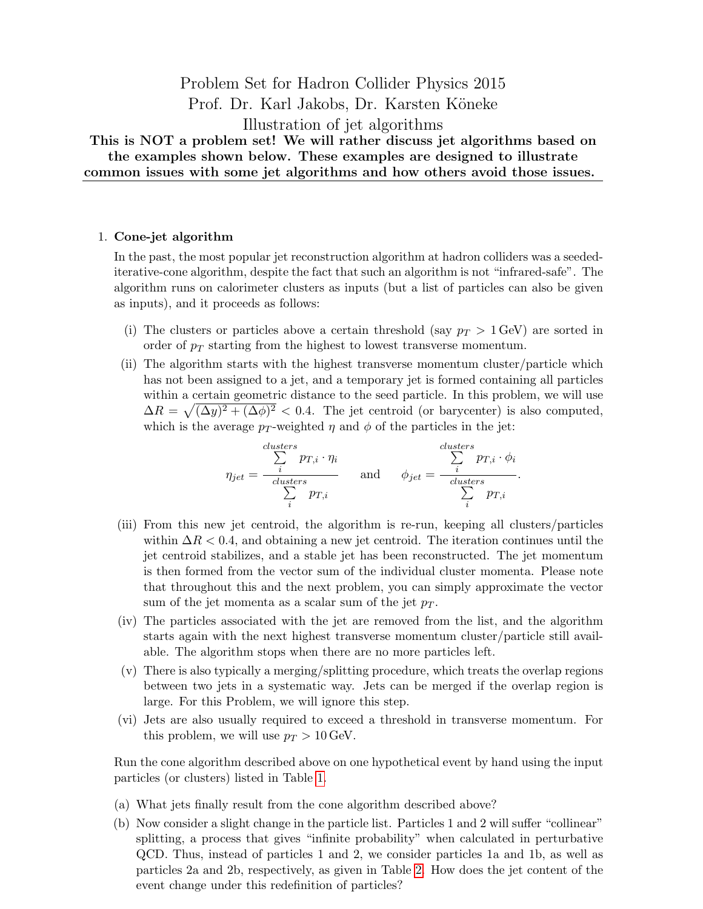Problem Set for Hadron Collider Physics 2015 Prof. Dr. Karl Jakobs, Dr. Karsten Köneke Illustration of jet algorithms This is NOT a problem set! We will rather discuss jet algorithms based on the examples shown below. These examples are designed to illustrate common issues with some jet algorithms and how others avoid those issues.

## 1. Cone-jet algorithm

In the past, the most popular jet reconstruction algorithm at hadron colliders was a seedediterative-cone algorithm, despite the fact that such an algorithm is not "infrared-safe". The algorithm runs on calorimeter clusters as inputs (but a list of particles can also be given as inputs), and it proceeds as follows:

- (i) The clusters or particles above a certain threshold (say  $p_T > 1$  GeV) are sorted in order of  $p_T$  starting from the highest to lowest transverse momentum.
- (ii) The algorithm starts with the highest transverse momentum cluster/particle which has not been assigned to a jet, and a temporary jet is formed containing all particles within a certain geometric distance to the seed particle. In this problem, we will use  $\Delta R = \sqrt{(\Delta y)^2 + (\Delta \phi)^2} < 0.4$ . The jet centroid (or barycenter) is also computed, which is the average  $p_T$ -weighted  $\eta$  and  $\phi$  of the particles in the jet:

$$
\eta_{jet} = \frac{\sum_{i}^{clusters} p_{T,i} \cdot \eta_i}{\sum_{i}^{clusters} p_{T,i}} \quad \text{and} \quad \phi_{jet} = \frac{\sum_{i}^{clusters} p_{T,i} \cdot \phi_i}{\sum_{i}^{clusters} p_{T,i}}.
$$

- (iii) From this new jet centroid, the algorithm is re-run, keeping all clusters/particles within  $\Delta R < 0.4$ , and obtaining a new jet centroid. The iteration continues until the jet centroid stabilizes, and a stable jet has been reconstructed. The jet momentum is then formed from the vector sum of the individual cluster momenta. Please note that throughout this and the next problem, you can simply approximate the vector sum of the jet momenta as a scalar sum of the jet  $p_T$ .
- (iv) The particles associated with the jet are removed from the list, and the algorithm starts again with the next highest transverse momentum cluster/particle still available. The algorithm stops when there are no more particles left.
- (v) There is also typically a merging/splitting procedure, which treats the overlap regions between two jets in a systematic way. Jets can be merged if the overlap region is large. For this Problem, we will ignore this step.
- (vi) Jets are also usually required to exceed a threshold in transverse momentum. For this problem, we will use  $p_T > 10$  GeV.

Run the cone algorithm described above on one hypothetical event by hand using the input particles (or clusters) listed in Table [1.](#page-1-0)

- (a) What jets finally result from the cone algorithm described above?
- (b) Now consider a slight change in the particle list. Particles 1 and 2 will suffer "collinear" splitting, a process that gives "infinite probability" when calculated in perturbative QCD. Thus, instead of particles 1 and 2, we consider particles 1a and 1b, as well as particles 2a and 2b, respectively, as given in Table [2.](#page-1-1) How does the jet content of the event change under this redefinition of particles?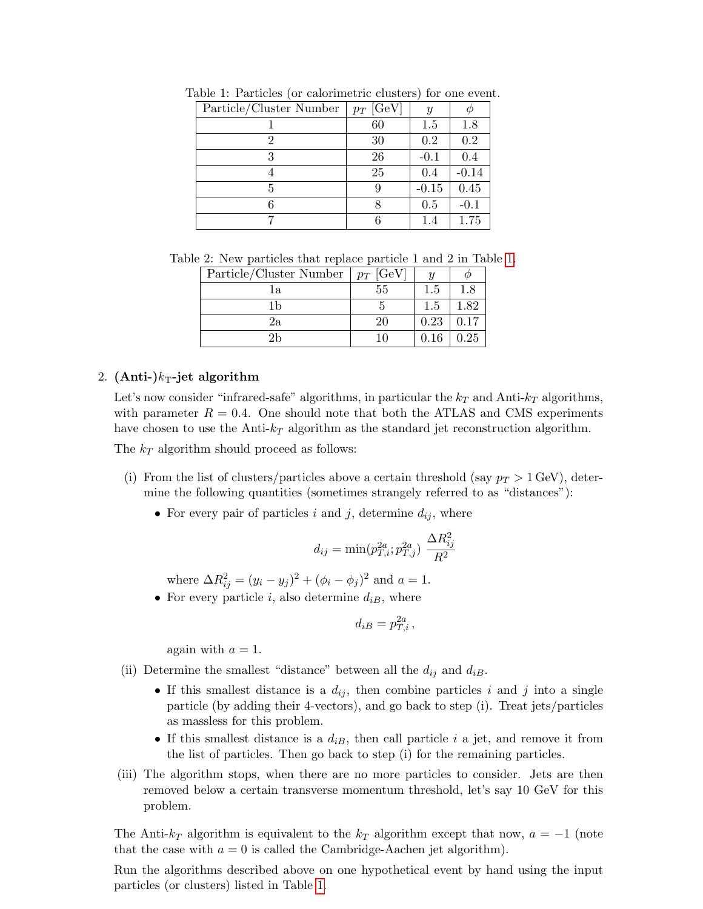<span id="page-1-0"></span>

| Particle/Cluster Number | $p_T$ [GeV] | $\boldsymbol{y}$ |         |
|-------------------------|-------------|------------------|---------|
|                         | 60          | 1.5              | 1.8     |
| 2                       | 30          | 0.2              | 0.2     |
|                         | 26          | $-0.1$           | 0.4     |
|                         | 25          | 0.4              | $-0.14$ |
| 5                       | 9           | $-0.15$          | 0.45    |
|                         |             | 0.5              | $-0.1$  |
|                         |             | 1.4              | 1.75    |

Table 1: Particles (or calorimetric clusters) for one event.

Table 2: New particles that replace particle 1 and 2 in Table [1.](#page-1-0)

<span id="page-1-1"></span>

| Particle/Cluster Number | $\mid p_T$ [GeV] | U    |         |
|-------------------------|------------------|------|---------|
| lа                      | 55               | 1.5  | $1.8\,$ |
|                         |                  | 1.5  | 1.82    |
| 2a                      | 20               | 0.23 | 0.17    |
|                         |                  | 0.16 | 0.25    |

## 2.  $(Anti-)k_T-jet algorithm$

Let's now consider "infrared-safe" algorithms, in particular the  $k_T$  and Anti- $k_T$  algorithms, with parameter  $R = 0.4$ . One should note that both the ATLAS and CMS experiments have chosen to use the Anti- $k_T$  algorithm as the standard jet reconstruction algorithm.

The  $k_T$  algorithm should proceed as follows:

- (i) From the list of clusters/particles above a certain threshold (say  $p_T > 1$  GeV), determine the following quantities (sometimes strangely referred to as "distances"):
	- For every pair of particles i and j, determine  $d_{ij}$ , where

$$
d_{ij} = \min(p_{T,i}^{2a}; p_{T,j}^{2a}) \frac{\Delta R_{ij}^2}{R^2}
$$

where  $\Delta R_{ij}^2 = (y_i - y_j)^2 + (\phi_i - \phi_j)^2$  and  $a = 1$ .

• For every particle *i*, also determine  $d_{iB}$ , where

$$
d_{iB}=p_{T,i}^{2a}\,,
$$

again with  $a = 1$ .

- (ii) Determine the smallest "distance" between all the  $d_{ij}$  and  $d_{iB}$ .
	- If this smallest distance is a  $d_{ij}$ , then combine particles i and j into a single particle (by adding their 4-vectors), and go back to step (i). Treat jets/particles as massless for this problem.
	- If this smallest distance is a  $d_{iB}$ , then call particle i a jet, and remove it from the list of particles. Then go back to step (i) for the remaining particles.
- (iii) The algorithm stops, when there are no more particles to consider. Jets are then removed below a certain transverse momentum threshold, let's say 10 GeV for this problem.

The Anti- $k_T$  algorithm is equivalent to the  $k_T$  algorithm except that now,  $a = -1$  (note that the case with  $a = 0$  is called the Cambridge-Aachen jet algorithm).

Run the algorithms described above on one hypothetical event by hand using the input particles (or clusters) listed in Table [1.](#page-1-0)